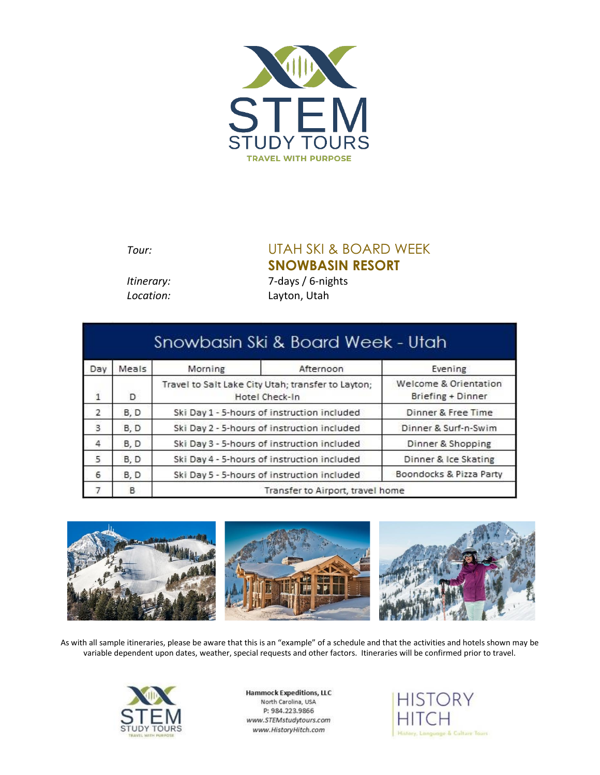

## *Tour:* UTAH SKI & BOARD WEEK **SNOWBASIN RESORT**

*Itinerary:* 7*-*days / 6-nights *Location:* Layton, Utah

| Snowbasin Ski & Board Week - Utah |       |                                                                      |           |                                            |  |
|-----------------------------------|-------|----------------------------------------------------------------------|-----------|--------------------------------------------|--|
| Day                               | Meals | Morning                                                              | Afternoon | Evening                                    |  |
| $\overline{1}$                    | D     | Travel to Salt Lake City Utah; transfer to Layton;<br>Hotel Check-In |           | Welcome & Orientation<br>Briefing + Dinner |  |
| 2                                 | B, D  | Ski Day 1 - 5-hours of instruction included                          |           | Dinner & Free Time                         |  |
| 3                                 | B, D  | Ski Day 2 - 5-hours of instruction included                          |           | Dinner & Surf-n-Swim                       |  |
| 4                                 | B, D  | Ski Day 3 - 5-hours of instruction included                          |           | Dinner & Shopping                          |  |
| 5                                 | B, D  | Ski Day 4 - 5-hours of instruction included                          |           | Dinner & Ice Skating                       |  |
| 6                                 | B, D  | Ski Day 5 - 5-hours of instruction included                          |           | Boondocks & Pizza Party                    |  |
|                                   | B     | Transfer to Airport, travel home                                     |           |                                            |  |



As with all sample itineraries, please be aware that this is an "example" of a schedule and that the activities and hotels shown may be variable dependent upon dates, weather, special requests and other factors. Itineraries will be confirmed prior to travel.



**Hammock Expeditions, LLC** North Carolina, USA P: 984.223.9866 www.STEMstudytours.com www.HistoryHitch.com

**HISTORY** HIT<sup>(</sup> History, Language & Culture Tours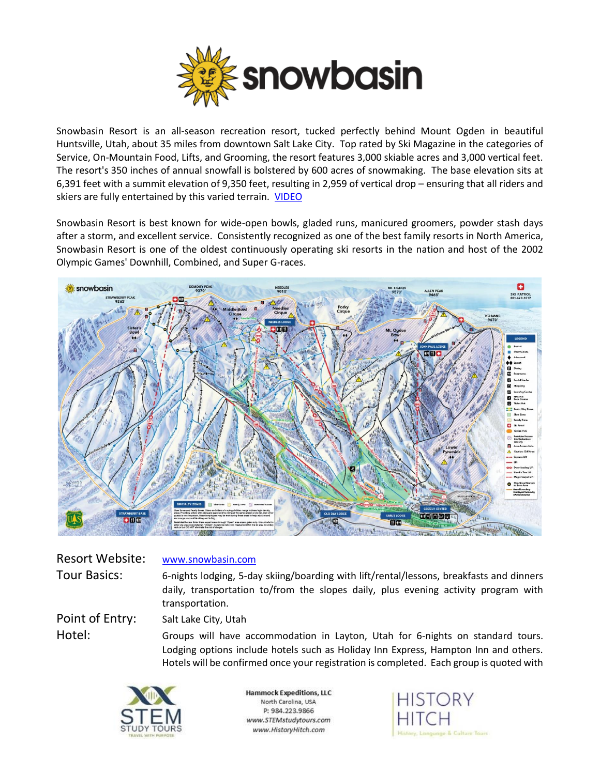

Snowbasin Resort is an all-season recreation resort, tucked perfectly behind Mount Ogden in beautiful Huntsville, Utah, about 35 miles from downtown Salt Lake City. Top rated by Ski Magazine in the categories of Service, On-Mountain Food, Lifts, and Grooming, the resort features 3,000 skiable acres and 3,000 vertical feet. The resort's 350 inches of annual snowfall is bolstered by 600 acres of snowmaking. The base elevation sits at 6,391 feet with a summit elevation of 9,350 feet, resulting in 2,959 of vertical drop – ensuring that all riders and skiers are fully entertained by this varied terrain. **[VIDEO](https://youtu.be/Mx-YpDzytJE)** 

Snowbasin Resort is best known for wide-open bowls, gladed runs, manicured groomers, powder stash days after a storm, and excellent service. Consistently recognized as one of the best family resorts in North America, Snowbasin Resort is one of the oldest continuously operating ski resorts in the nation and host of the 2002 Olympic Games' Downhill, Combined, and Super G-races.



| <b>Resort Website:</b> | www.snowbasin.com                                                                                                                                                                                 |  |
|------------------------|---------------------------------------------------------------------------------------------------------------------------------------------------------------------------------------------------|--|
| <b>Tour Basics:</b>    | 6-nights lodging, 5-day skiing/boarding with lift/rental/lessons, breakfasts and dinners<br>daily, transportation to/from the slopes daily, plus evening activity program with<br>transportation. |  |
| Point of Entry:        | Salt Lake City, Utah                                                                                                                                                                              |  |
| Hotel:                 | Groups will have accommodation in Layton, Utah for 6-nights on standard tours.<br>Lodging options include hotels such as Holiday Inn Express, Hampton Inn and others.                             |  |

Hotels will be confirmed once your registration is completed. Each group is quoted with



**Hammock Expeditions, LLC** North Carolina, USA P: 984.223.9866 www.STEMstudytours.com www.HistoryHitch.com

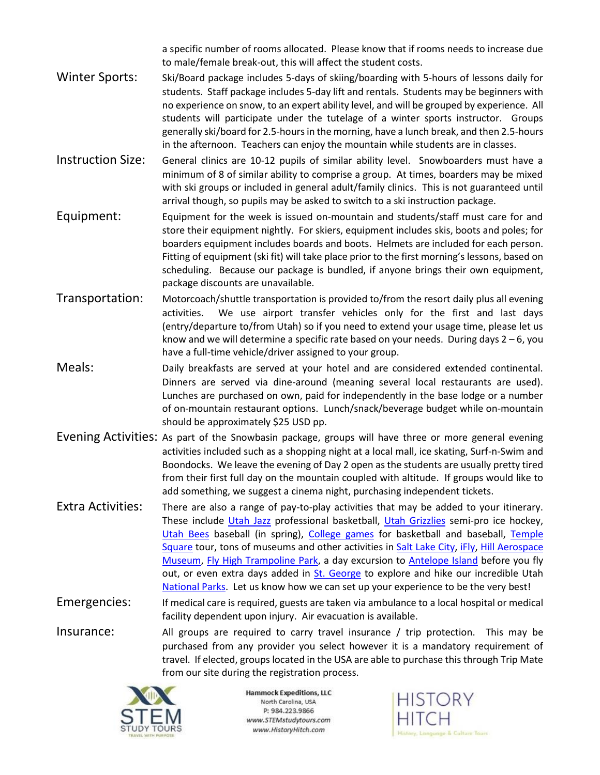a specific number of rooms allocated. Please know that if rooms needs to increase due to male/female break-out, this will affect the student costs.

- Winter Sports: Ski/Board package includes 5-days of skiing/boarding with 5-hours of lessons daily for students. Staff package includes 5-day lift and rentals. Students may be beginners with no experience on snow, to an expert ability level, and will be grouped by experience. All students will participate under the tutelage of a winter sports instructor. Groups generally ski/board for 2.5-hours in the morning, have a lunch break, and then 2.5-hours in the afternoon. Teachers can enjoy the mountain while students are in classes.
- Instruction Size: General clinics are 10-12 pupils of similar ability level. Snowboarders must have a minimum of 8 of similar ability to comprise a group. At times, boarders may be mixed with ski groups or included in general adult/family clinics. This is not guaranteed until arrival though, so pupils may be asked to switch to a ski instruction package.
- Equipment: Equipment for the week is issued on-mountain and students/staff must care for and store their equipment nightly. For skiers, equipment includes skis, boots and poles; for boarders equipment includes boards and boots. Helmets are included for each person. Fitting of equipment (ski fit) will take place prior to the first morning's lessons, based on scheduling. Because our package is bundled, if anyone brings their own equipment, package discounts are unavailable.
- Transportation: Motorcoach/shuttle transportation is provided to/from the resort daily plus all evening activities. We use airport transfer vehicles only for the first and last days (entry/departure to/from Utah) so if you need to extend your usage time, please let us know and we will determine a specific rate based on your needs. During days  $2 - 6$ , you have a full-time vehicle/driver assigned to your group.
- Meals: Daily breakfasts are served at your hotel and are considered extended continental. Dinners are served via dine-around (meaning several local restaurants are used). Lunches are purchased on own, paid for independently in the base lodge or a number of on-mountain restaurant options. Lunch/snack/beverage budget while on-mountain should be approximately \$25 USD pp.
- Evening Activities: As part of the Snowbasin package, groups will have three or more general evening activities included such as a shopping night at a local mall, ice skating, Surf-n-Swim and Boondocks. We leave the evening of Day 2 open as the students are usually pretty tired from their first full day on the mountain coupled with altitude. If groups would like to add something, we suggest a cinema night, purchasing independent tickets.
- Extra Activities: There are also a range of pay-to-play activities that may be added to your itinerary. These include [Utah Jazz](https://www.nba.com/jazz/) professional basketball, [Utah Grizzlies](https://www.utahgrizzlies.com/) semi-pro ice hockey, [Utah Bees](https://www.milb.com/salt-lake) baseball (in spring), [College games](https://weberstatesports.com/) for basketball and baseball, [Temple](https://www.churchofjesuschrist.org/feature/templesquare?lang=eng)  [Square](https://www.churchofjesuschrist.org/feature/templesquare?lang=eng) tour, tons of museums and other activities i[n Salt Lake City,](https://www.visitsaltlake.com/things-to-do/) [iFly,](https://iflyutah.com/) [Hill Aerospace](https://www.aerospaceutah.org/)  [Museum,](https://www.aerospaceutah.org/) [Fly High Trampoline Park,](https://ogden.flyhightrampolinepark.com/) a day excursion to [Antelope Island](https://stateparks.utah.gov/parks/antelope-island/) before you fly out, or even extra days added in [St. George](https://www.utah.com/destinations/cities-towns/st-george/) to explore and hike our incredible Utah [National Parks.](https://www.utah.com/destinations/national-parks/) Let us know how we can set up your experience to be the very best!
- Emergencies: If medical care is required, guests are taken via ambulance to a local hospital or medical facility dependent upon injury. Air evacuation is available.
- Insurance: All groups are required to carry travel insurance / trip protection. This may be purchased from any provider you select however it is a mandatory requirement of travel. If elected, groups located in the USA are able to purchase this through Trip Mate from our site during the registration process.



**Hammock Expeditions, LLC** North Carolina, USA P: 984.223.9866 www.STEMstudytours.com www.HistoryHitch.com

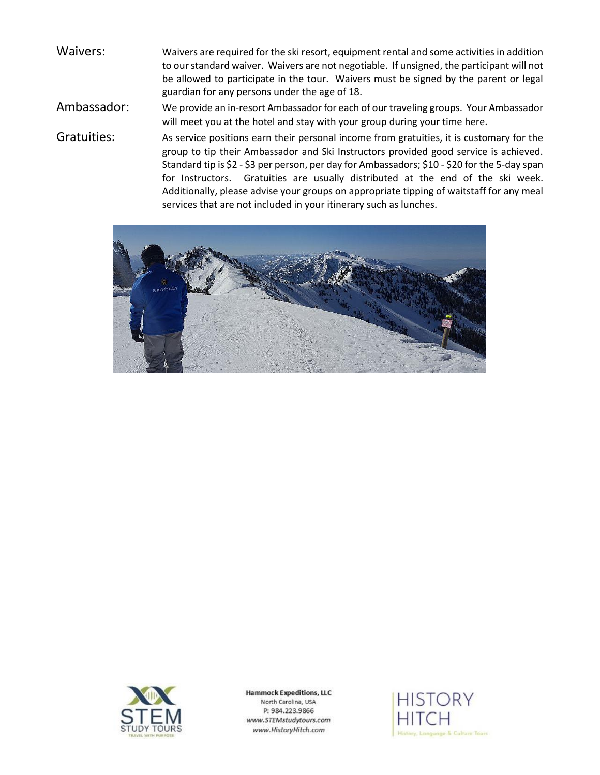- Waivers: Waivers are required for the ski resort, equipment rental and some activities in addition to our standard waiver. Waivers are not negotiable. If unsigned, the participant will not be allowed to participate in the tour. Waivers must be signed by the parent or legal guardian for any persons under the age of 18.
- Ambassador: We provide an in-resort Ambassador for each of our traveling groups. Your Ambassador will meet you at the hotel and stay with your group during your time here.
- Gratuities: As service positions earn their personal income from gratuities, it is customary for the group to tip their Ambassador and Ski Instructors provided good service is achieved. Standard tip is \$2 - \$3 per person, per day for Ambassadors; \$10 - \$20 for the 5-day span for Instructors. Gratuities are usually distributed at the end of the ski week. Additionally, please advise your groups on appropriate tipping of waitstaff for any meal services that are not included in your itinerary such as lunches.





**Hammock Expeditions, LLC** North Carolina, USA P: 984.223.9866 www.STEMstudytours.com www.HistoryHitch.com

**HISTORY** History, Language & Culture Tours